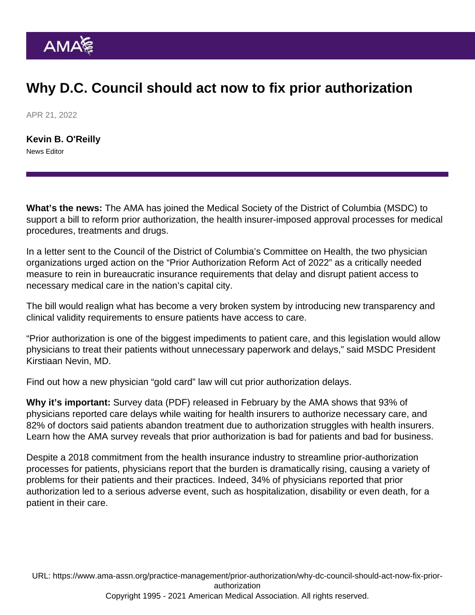## Why D.C. Council should act now to fix prior authorization

APR 21, 2022

[Kevin B. O'Reilly](https://www.ama-assn.org/news-leadership-viewpoints/authors-news-leadership-viewpoints/kevin-b-oreilly) News Editor

What's the news: The AMA has joined the Medical Society of the District of Columbia (MSDC) to support a bill to reform [prior authorization,](https://www.ama-assn.org/practice-management/sustainability/prior-authorization) the health insurer-imposed approval processes for medical procedures, treatments and drugs.

In a [letter sent](https://searchlf.ama-assn.org/letter/documentDownload?uri=/unstructured/binary/letter/LETTERS/2022-04-05-AMA-MSDC-JT-Letter-support-Prior-Auth-Reform-FINAL.pdf) to the Council of the District of Columbia's Committee on Health, the two physician organizations urged action on the "[Prior Authorization Reform Act of 2022](https://lims.dccouncil.us/Legislation/B24-0655)" as a critically needed measure to rein in bureaucratic insurance requirements that delay and disrupt patient access to necessary medical care in the nation's capital city.

The bill would realign what has become a very broken system by introducing new transparency and clinical validity requirements to ensure patients have access to care.

"Prior authorization is one of the biggest impediments to patient care, and this legislation would allow physicians to treat their patients without unnecessary paperwork and delays," said MSDC President Kirstiaan Nevin, MD.

Find out how a new [physician "gold card" law will cut prior authorization delays](https://www.ama-assn.org/practice-management/sustainability/new-physician-gold-card-law-will-cut-prior-authorization-delays).

Why it's important: [Survey data](https://www.ama-assn.org/system/files/prior-authorization-survey.pdf) (PDF) released in February by the AMA shows that 93% of physicians reported care delays while waiting for health insurers to authorize necessary care, and 82% of doctors said patients abandon treatment due to authorization struggles with health insurers. Learn how the AMA survey reveals [that prior authorization is bad for patients and bad for business.](https://www.ama-assn.org/practice-management/sustainability/why-prior-authorization-bad-patients-and-bad-business)

Despite a 2018 [commitment from the health insurance industry](https://www.ama-assn.org/sites/ama-assn.org/files/corp/media-browser/public/arc-public/prior-authorization-consensus-statement.pdf) to streamline prior-authorization processes for patients, physicians report that the burden is dramatically rising, causing a variety of problems for their patients and their practices. Indeed, 34% of physicians reported that prior authorization led to a serious adverse event, such as hospitalization, disability or even death, for a patient in their care.

URL: [https://www.ama-assn.org/practice-management/prior-authorization/why-dc-council-should-act-now-fix-prior](https://www.ama-assn.org/practice-management/prior-authorization/why-dc-council-should-act-now-fix-prior-authorization)[authorization](https://www.ama-assn.org/practice-management/prior-authorization/why-dc-council-should-act-now-fix-prior-authorization)